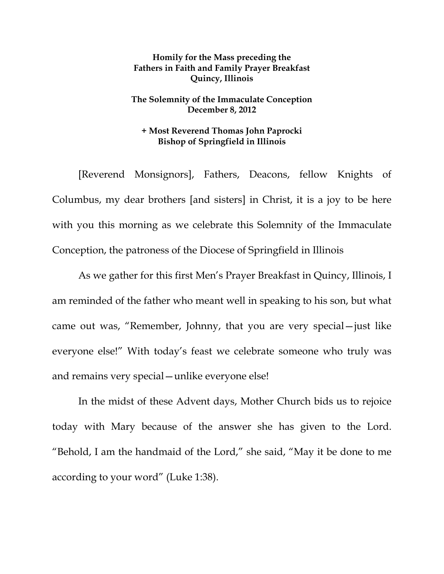## **Homily for the Mass preceding the Fathers in Faith and Family Prayer Breakfast Quincy, Illinois**

## **The Solemnity of the Immaculate Conception December 8, 2012**

## **+ Most Reverend Thomas John Paprocki Bishop of Springfield in Illinois**

 [Reverend Monsignors], Fathers, Deacons, fellow Knights of Columbus, my dear brothers [and sisters] in Christ, it is a joy to be here with you this morning as we celebrate this Solemnity of the Immaculate Conception, the patroness of the Diocese of Springfield in Illinois

As we gather for this first Men's Prayer Breakfast in Quincy, Illinois, I am reminded of the father who meant well in speaking to his son, but what came out was, "Remember, Johnny, that you are very special—just like everyone else!" With today's feast we celebrate someone who truly was and remains very special—unlike everyone else!

 In the midst of these Advent days, Mother Church bids us to rejoice today with Mary because of the answer she has given to the Lord. "Behold, I am the handmaid of the Lord," she said, "May it be done to me according to your word" (Luke 1:38).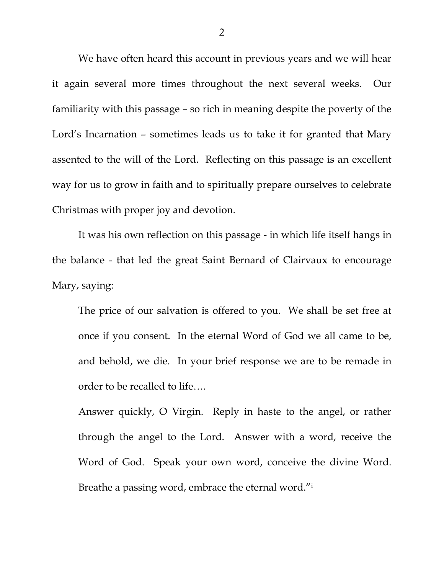We have often heard this account in previous years and we will hear it again several more times throughout the next several weeks. Our familiarity with this passage – so rich in meaning despite the poverty of the Lord's Incarnation – sometimes leads us to take it for granted that Mary assented to the will of the Lord. Reflecting on this passage is an excellent way for us to grow in faith and to spiritually prepare ourselves to celebrate Christmas with proper joy and devotion.

 It was his own reflection on this passage - in which life itself hangs in the balance - that led the great Saint Bernard of Clairvaux to encourage Mary, saying:

The price of our salvation is offered to you. We shall be set free at once if you consent. In the eternal Word of God we all came to be, and behold, we die. In your brief response we are to be remade in order to be recalled to life….

Answer quickly, O Virgin. Reply in haste to the angel, or rather through the angel to the Lord. Answer with a word, receive the Word of God. Speak your own word, conceive the divine Word. Breathe a passing word, embrace the eternal word."i